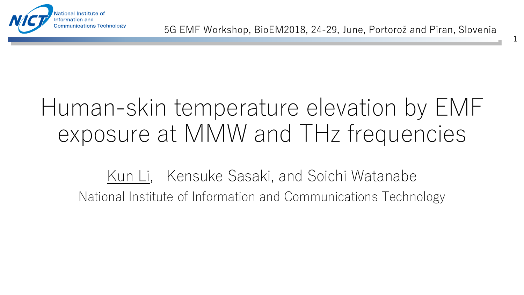

1

### Human-skin temperature elevation by EMF exposure at MMW and THz frequencies

Kun Li, Kensuke Sasaki, and Soichi Watanabe National Institute of Information and Communications Technology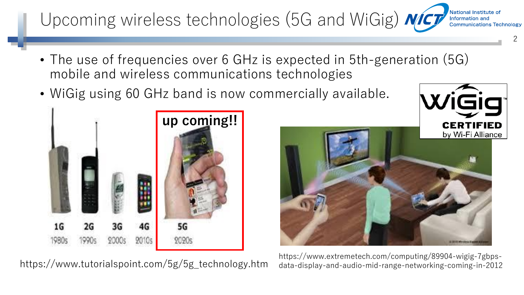#### National Institute of Upcoming wireless technologies (5G and WiGig) *NICT* Information and **Communications Technology**

- The use of frequencies over 6 GHz is expected in 5th-generation (5G) mobile and wireless communications technologies
- WiGig using 60 GHz band is now commercially available.



https://www.tutorialspoint.com/5g/5g\_technology.htm



2

https://www.extremetech.com/computing/89904-wigig-7gbpsdata-display-and-audio-mid-range-networking-coming-in-2012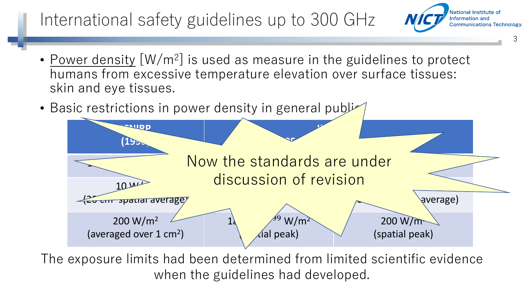#### International safety guidelines up to 300 GHz

- Power density [W/m<sup>2</sup>] is used as measure in the guidelines to protect humans from excessive temperature elevation over surface tissues: skin and eye tissues.
- Basic restrictions in power density in general publicular



3

National Institute of Information and

**Communications Technology** 

The exposure limits had been determined from limited scientific evidence when the guidelines had developed.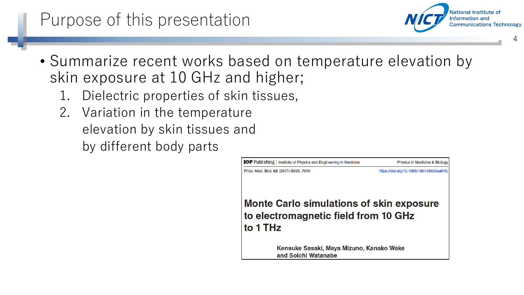#### Purpose of this presentation

- Summarize recent works based on temperature elevation by skin exposure at 10 GHz and higher;
	- 1. Dielectric properties of skin tissues,
	- 2. Variation in the temperature elevation by skin tissues and by different body parts



4

National Institute of Information and

**Communications Technology**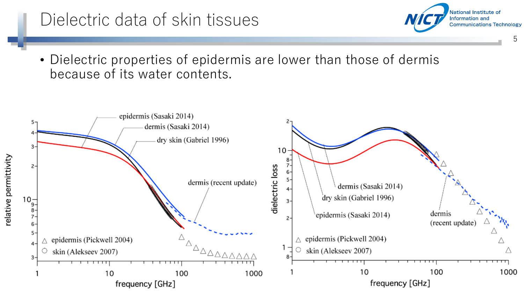#### Dielectric data of skin tissues

• Dielectric properties of epidermis are lower than those of dermis because of its water contents.

5

National Institute of Information and

**Communications Technology** 

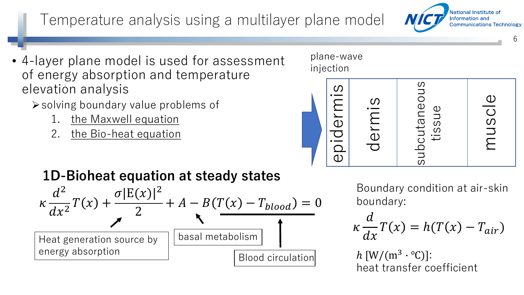#### Temperature analysis using a multilayer plane model

- 4-layer plane model is used for assessment of energy absorption and temperature elevation analysis
	- ➢solving boundary value problems of
		- 1. the Maxwell equation
		- 2. the Bio-heat equation

# epidermis

**1D-Bioheat equation at steady states**



Boundary condition at air-skin boundary:

subcutaneous

tissue

$$
\kappa \frac{d}{dx} T(x) = h(T(x) - T_{air})
$$

 $h \left[ W/(m^3 \cdot {}^{\circ}C) \right]$ : heat transfer coefficient

dermis

plane-wave

injection

National Institute of Information and **Communications Technology** 

muscle

6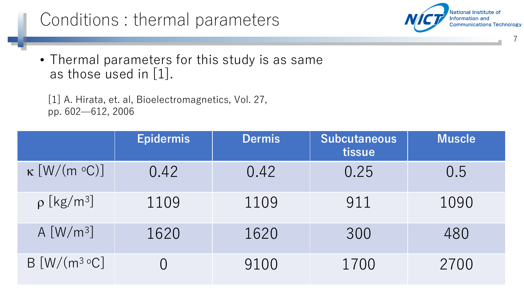#### Conditions : thermal parameters

• Thermal parameters for this study is as same as those used in [1].

[1] A. Hirata, et. al, Bioelectromagnetics, Vol. 27, pp. 602—612, 2006

|                             | <b>Epidermis</b> | <b>Dermis</b> | <b>Subcutaneous</b><br>tissue | <b>Muscle</b> |
|-----------------------------|------------------|---------------|-------------------------------|---------------|
| $\kappa$ [W/(m °C)]         | 0.42             | 0.42          | 0.25                          | 0.5           |
| $\rho$ [kg/m <sup>3</sup> ] | 1109             | 1109          | 911                           | 1090          |
| A $[W/m^3]$                 | 1620             | 1620          | 300                           | 480           |
| $B[W/(m^3 °C)]$             |                  | 9100          | 1700                          | 2700          |

7

National Institute of Information and

**Communications Technology**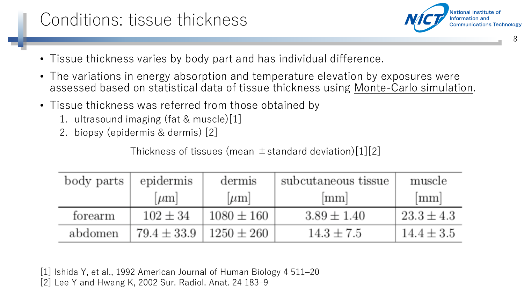#### Conditions: tissue thickness

National Institute of Information and **Communications Technology** 

8

- Tissue thickness varies by body part and has individual difference.
- The variations in energy absorption and temperature elevation by exposures were assessed based on statistical data of tissue thickness using Monte-Carlo simulation.
- Tissue thickness was referred from those obtained by
	- 1. ultrasound imaging (fat & muscle)[1]
	- 2. biopsy (epidermis & dermis) [2]

Thickness of tissues (mean  $\pm$  standard deviation)[1][2]

| body parts | epidermis       | dermis         | subcutaneous tissue | muscle         |
|------------|-----------------|----------------|---------------------|----------------|
|            | $ \mu m $       | $ \mu m $      | mm                  | mm             |
| forearm    | $102 \pm 34$    | $1080 \pm 160$ | $3.89 \pm 1.40$     | $23.3 \pm 4.3$ |
| abdomen    | $79.4 \pm 33.9$ | $1250 \pm 260$ | $14.3 \pm 7.5$      | $14.4 \pm 3.5$ |

[1] Ishida Y, et al., 1992 American Journal of Human Biology 4 511–20 [2] Lee Y and Hwang K, 2002 Sur. Radiol. Anat. 24 183–9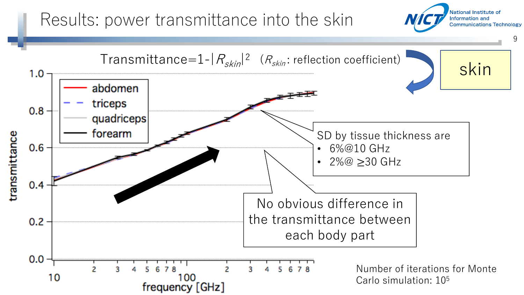#### Results: power transmittance into the skin

National Institute of Information and **Communications Technology** 

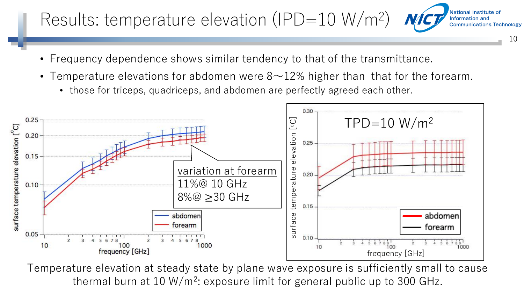#### Results: temperature elevation (IPD=10 W/m<sup>2</sup>)

- Frequency dependence shows similar tendency to that of the transmittance.
- Temperature elevations for abdomen were  $8\negthinspace-12\%$  higher than that for the forearm.

10

National Institute of Information and

**Communications Technology** 

• those for triceps, quadriceps, and abdomen are perfectly agreed each other.



Temperature elevation at steady state by plane wave exposure is sufficiently small to cause thermal burn at 10 W/m<sup>2</sup>: exposure limit for general public up to 300 GHz.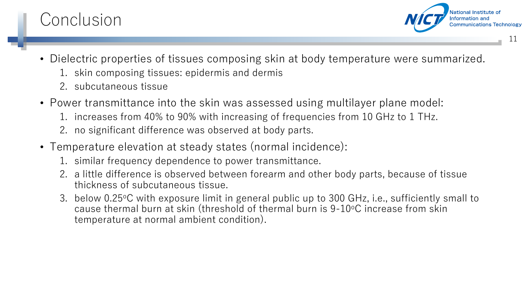#### Conclusion

National Institute of Information and **Communications Technology** 

11

- Dielectric properties of tissues composing skin at body temperature were summarized.
	- 1. skin composing tissues: epidermis and dermis
	- 2. subcutaneous tissue
- Power transmittance into the skin was assessed using multilayer plane model:
	- 1. increases from 40% to 90% with increasing of frequencies from 10 GHz to 1 THz.
	- 2. no significant difference was observed at body parts.
- Temperature elevation at steady states (normal incidence):
	- 1. similar frequency dependence to power transmittance.
	- 2. a little difference is observed between forearm and other body parts, because of tissue thickness of subcutaneous tissue.
	- 3. below 0.25°C with exposure limit in general public up to 300 GHz, i.e., sufficiently small to cause thermal burn at skin (threshold of thermal burn is 9-10°C increase from skin temperature at normal ambient condition).